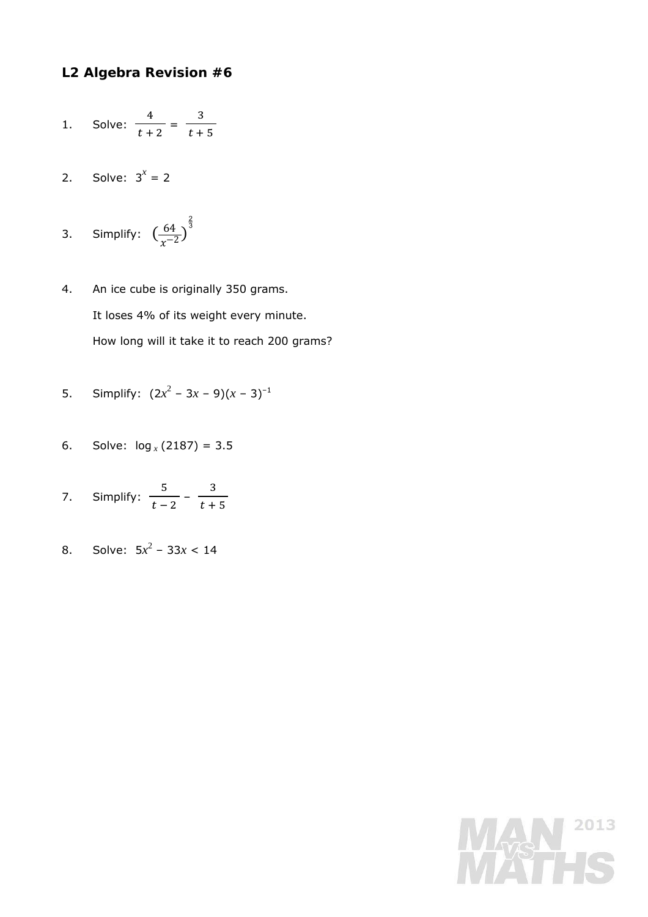## **L2 Algebra Revision #6**

- 1. Solve: ସ  $\frac{1}{t+2}$  = ଷ  $t + 5$
- 2. Solve:  $3^x = 2$
- 3. Simplify:  $\left(\frac{64}{x^{-2}}\right)^{\frac{2}{3}}$
- 4. An ice cube is originally 350 grams. It loses 4% of its weight every minute. How long will it take it to reach 200 grams?
- 5. Simplify:  $(2x^2 3x 9)(x 3)^{-1}$
- 6. Solve:  $log_x(2187) = 3.5$
- 7. Simplify:  $\frac{5}{t-2} - \frac{3}{t+5}$
- 8. Solve:  $5x^2 33x < 14$